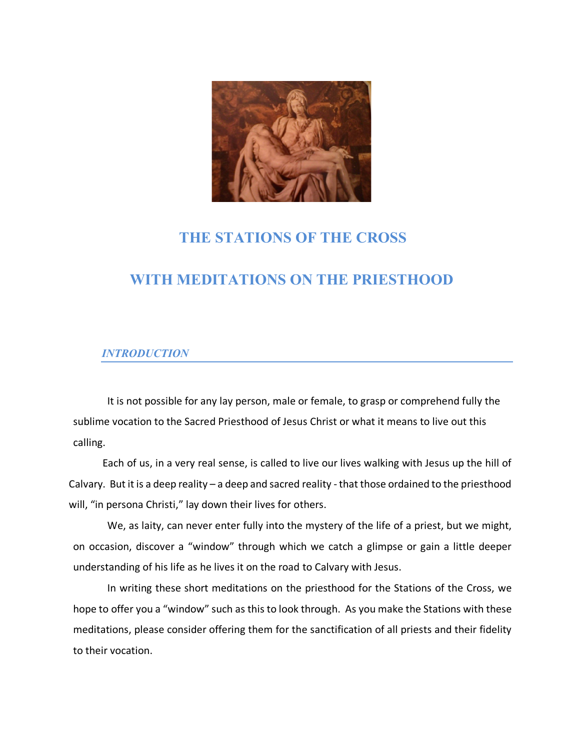

# **THE STATIONS OF THE CROSS**

# **WITH MEDITATIONS ON THE PRIESTHOOD**

## *INTRODUCTION*

It is not possible for any lay person, male or female, to grasp or comprehend fully the sublime vocation to the Sacred Priesthood of Jesus Christ or what it means to live out this calling.

Each of us, in a very real sense, is called to live our lives walking with Jesus up the hill of Calvary. But it is a deep reality – a deep and sacred reality - that those ordained to the priesthood will, "in persona Christi," lay down their lives for others.

We, as laity, can never enter fully into the mystery of the life of a priest, but we might, on occasion, discover a "window" through which we catch a glimpse or gain a little deeper understanding of his life as he lives it on the road to Calvary with Jesus.

In writing these short meditations on the priesthood for the Stations of the Cross, we hope to offer you a "window" such as this to look through. As you make the Stations with these meditations, please consider offering them for the sanctification of all priests and their fidelity to their vocation.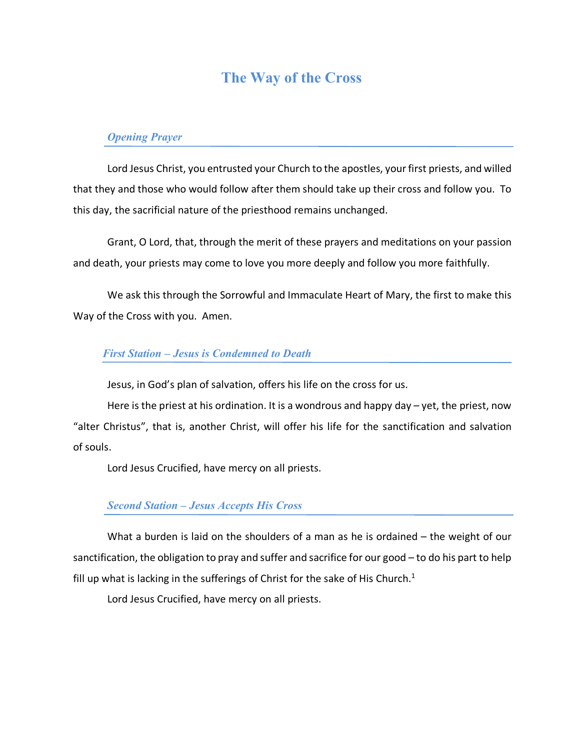# **The Way of the Cross**

## *Opening Prayer*

Lord Jesus Christ, you entrusted your Church to the apostles, your first priests, and willed that they and those who would follow after them should take up their cross and follow you. To this day, the sacrificial nature of the priesthood remains unchanged.

Grant, O Lord, that, through the merit of these prayers and meditations on your passion and death, your priests may come to love you more deeply and follow you more faithfully.

We ask this through the Sorrowful and Immaculate Heart of Mary, the first to make this Way of the Cross with you. Amen.

### *First Station – Jesus is Condemned to Death*

Jesus, in God's plan of salvation, offers his life on the cross for us.

Here is the priest at his ordination. It is a wondrous and happy day – yet, the priest, now "alter Christus", that is, another Christ, will offer his life for the sanctification and salvation of souls.

Lord Jesus Crucified, have mercy on all priests.

### *Second Station – Jesus Accepts His Cross*

What a burden is laid on the shoulders of a man as he is ordained – the weight of our sanctification, the obligation to pray and suffer and sacrifice for our good – to do his part to help fill up what is lacking in the sufferings of Christ for the sake of His Church.<sup>1</sup>

Lord Jesus Crucified, have mercy on all priests.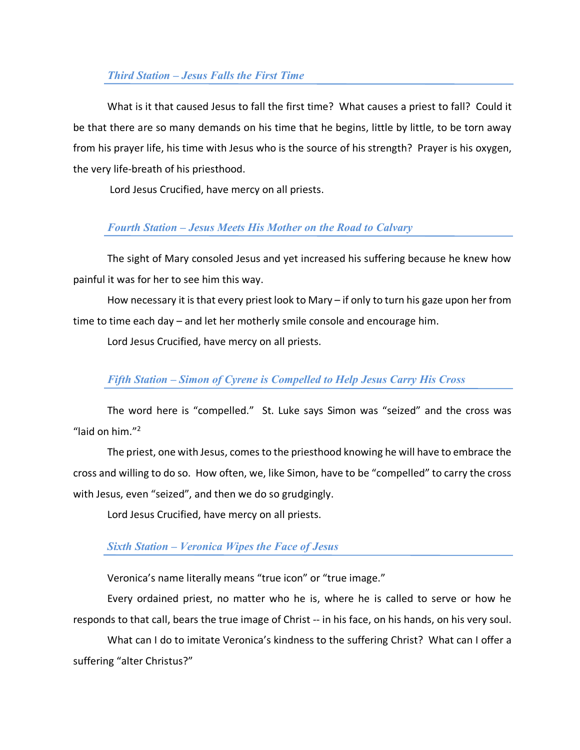### *Third Station – Jesus Falls the First Time*

What is it that caused Jesus to fall the first time? What causes a priest to fall? Could it be that there are so many demands on his time that he begins, little by little, to be torn away from his prayer life, his time with Jesus who is the source of his strength? Prayer is his oxygen, the very life-breath of his priesthood.

Lord Jesus Crucified, have mercy on all priests.

## *Fourth Station – Jesus Meets His Mother on the Road to Calvary*

The sight of Mary consoled Jesus and yet increased his suffering because he knew how painful it was for her to see him this way.

How necessary it is that every priest look to Mary – if only to turn his gaze upon her from time to time each day – and let her motherly smile console and encourage him.

Lord Jesus Crucified, have mercy on all priests.

## *Fifth Station – Simon of Cyrene is Compelled to Help Jesus Carry His Cross*

The word here is "compelled." St. Luke says Simon was "seized" and the cross was "laid on him."2

The priest, one with Jesus, comes to the priesthood knowing he will have to embrace the cross and willing to do so. How often, we, like Simon, have to be "compelled" to carry the cross with Jesus, even "seized", and then we do so grudgingly.

Lord Jesus Crucified, have mercy on all priests.

## *Sixth Station – Veronica Wipes the Face of Jesus*

Veronica's name literally means "true icon" or "true image."

Every ordained priest, no matter who he is, where he is called to serve or how he responds to that call, bears the true image of Christ -- in his face, on his hands, on his very soul.

What can I do to imitate Veronica's kindness to the suffering Christ? What can I offer a suffering "alter Christus?"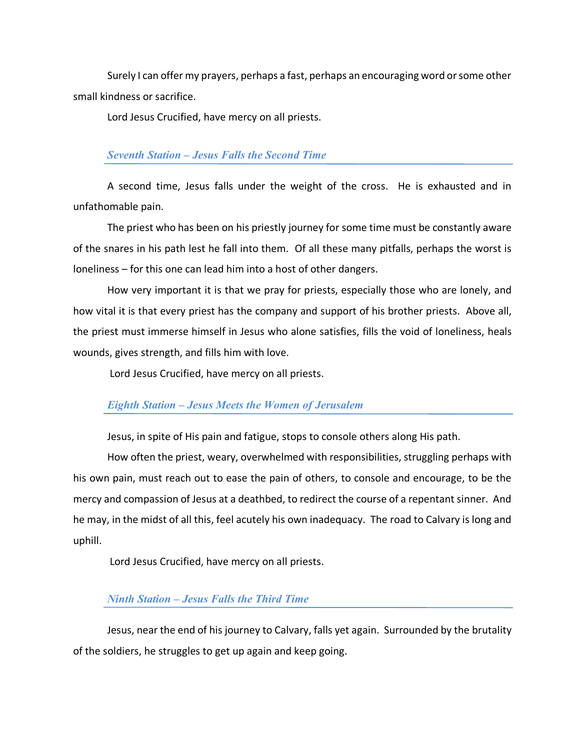Surely I can offer my prayers, perhaps a fast, perhaps an encouraging word or some other small kindness or sacrifice.

Lord Jesus Crucified, have mercy on all priests.

#### *Seventh Station – Jesus Falls the Second Time*

A second time, Jesus falls under the weight of the cross. He is exhausted and in unfathomable pain.

The priest who has been on his priestly journey for some time must be constantly aware of the snares in his path lest he fall into them. Of all these many pitfalls, perhaps the worst is loneliness – for this one can lead him into a host of other dangers.

How very important it is that we pray for priests, especially those who are lonely, and how vital it is that every priest has the company and support of his brother priests. Above all, the priest must immerse himself in Jesus who alone satisfies, fills the void of loneliness, heals wounds, gives strength, and fills him with love.

Lord Jesus Crucified, have mercy on all priests.

#### *Eighth Station – Jesus Meets the Women of Jerusalem*

Jesus, in spite of His pain and fatigue, stops to console others along His path.

How often the priest, weary, overwhelmed with responsibilities, struggling perhaps with his own pain, must reach out to ease the pain of others, to console and encourage, to be the mercy and compassion of Jesus at a deathbed, to redirect the course of a repentant sinner. And he may, in the midst of all this, feel acutely his own inadequacy. The road to Calvary is long and uphill.

Lord Jesus Crucified, have mercy on all priests.

### *Ninth Station – Jesus Falls the Third Time*

Jesus, near the end of his journey to Calvary, falls yet again. Surrounded by the brutality of the soldiers, he struggles to get up again and keep going.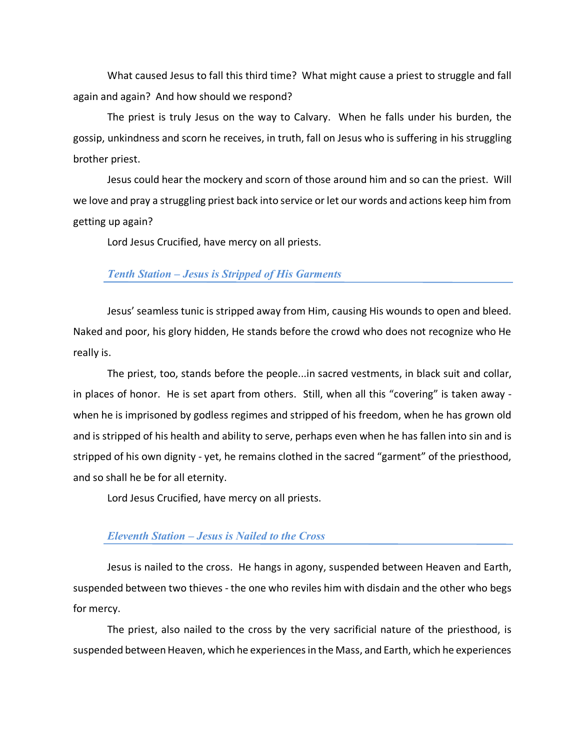What caused Jesus to fall this third time? What might cause a priest to struggle and fall again and again? And how should we respond?

The priest is truly Jesus on the way to Calvary. When he falls under his burden, the gossip, unkindness and scorn he receives, in truth, fall on Jesus who is suffering in his struggling brother priest.

Jesus could hear the mockery and scorn of those around him and so can the priest. Will we love and pray a struggling priest back into service or let our words and actions keep him from getting up again?

Lord Jesus Crucified, have mercy on all priests.

#### *Tenth Station – Jesus is Stripped of His Garments*

Jesus' seamless tunic is stripped away from Him, causing His wounds to open and bleed. Naked and poor, his glory hidden, He stands before the crowd who does not recognize who He really is.

The priest, too, stands before the people...in sacred vestments, in black suit and collar, in places of honor. He is set apart from others. Still, when all this "covering" is taken away when he is imprisoned by godless regimes and stripped of his freedom, when he has grown old and is stripped of his health and ability to serve, perhaps even when he has fallen into sin and is stripped of his own dignity - yet, he remains clothed in the sacred "garment" of the priesthood, and so shall he be for all eternity.

Lord Jesus Crucified, have mercy on all priests.

#### *Eleventh Station – Jesus is Nailed to the Cross*

Jesus is nailed to the cross. He hangs in agony, suspended between Heaven and Earth, suspended between two thieves - the one who reviles him with disdain and the other who begs for mercy.

The priest, also nailed to the cross by the very sacrificial nature of the priesthood, is suspended between Heaven, which he experiences in the Mass, and Earth, which he experiences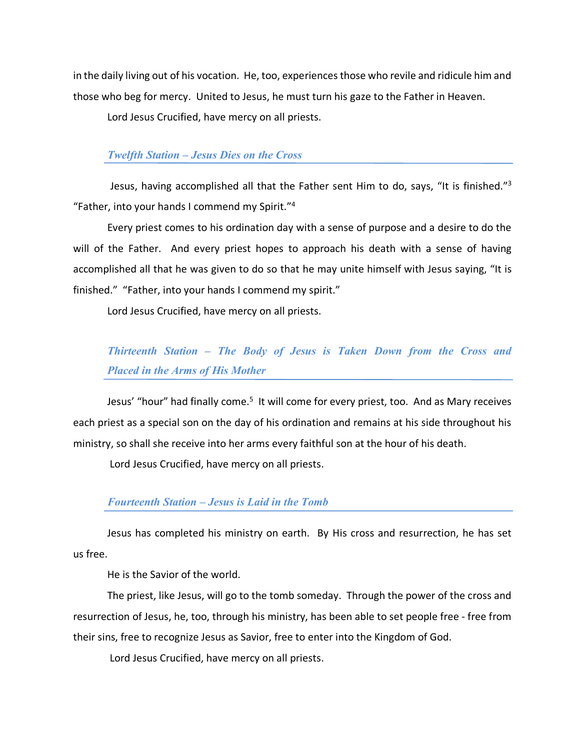in the daily living out of his vocation. He, too, experiences those who revile and ridicule him and those who beg for mercy. United to Jesus, he must turn his gaze to the Father in Heaven.

Lord Jesus Crucified, have mercy on all priests.

#### *Twelfth Station – Jesus Dies on the Cross*

Jesus, having accomplished all that the Father sent Him to do, says, "It is finished."3 "Father, into your hands I commend my Spirit."4

Every priest comes to his ordination day with a sense of purpose and a desire to do the will of the Father. And every priest hopes to approach his death with a sense of having accomplished all that he was given to do so that he may unite himself with Jesus saying, "It is finished." "Father, into your hands I commend my spirit."

Lord Jesus Crucified, have mercy on all priests.

# *Thirteenth Station – The Body of Jesus is Taken Down from the Cross and Placed in the Arms of His Mother*

Jesus' "hour" had finally come.<sup>5</sup> It will come for every priest, too. And as Mary receives each priest as a special son on the day of his ordination and remains at his side throughout his ministry, so shall she receive into her arms every faithful son at the hour of his death.

Lord Jesus Crucified, have mercy on all priests.

### *Fourteenth Station – Jesus is Laid in the Tomb*

Jesus has completed his ministry on earth. By His cross and resurrection, he has set us free.

He is the Savior of the world.

The priest, like Jesus, will go to the tomb someday. Through the power of the cross and resurrection of Jesus, he, too, through his ministry, has been able to set people free - free from their sins, free to recognize Jesus as Savior, free to enter into the Kingdom of God.

Lord Jesus Crucified, have mercy on all priests.